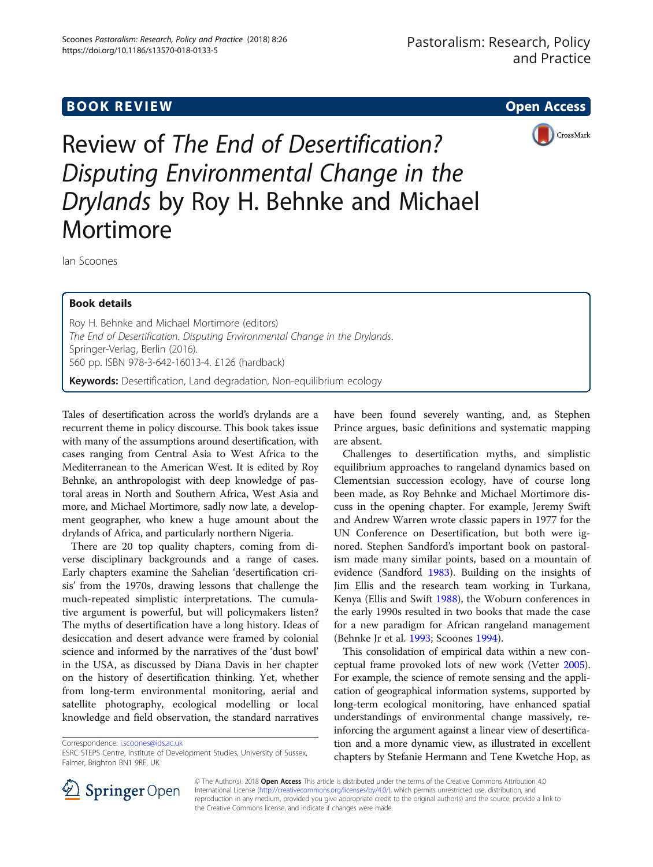# **BOOK REVIEW CONTROL** BOOK REVIEW



Review of The End of Desertification? Disputing Environmental Change in the Drylands by Roy H. Behnke and Michael Mortimore

Ian Scoones

# Book details

Roy H. Behnke and Michael Mortimore (editors) The End of Desertification. Disputing Environmental Change in the Drylands. Springer-Verlag, Berlin (2016). 560 pp. ISBN 978-3-642-16013-4. £126 (hardback) Keywords: Desertification, Land degradation, Non-equilibrium ecology

Tales of desertification across the world's drylands are a recurrent theme in policy discourse. This book takes issue with many of the assumptions around desertification, with cases ranging from Central Asia to West Africa to the Mediterranean to the American West. It is edited by Roy Behnke, an anthropologist with deep knowledge of pastoral areas in North and Southern Africa, West Asia and more, and Michael Mortimore, sadly now late, a development geographer, who knew a huge amount about the drylands of Africa, and particularly northern Nigeria.

There are 20 top quality chapters, coming from diverse disciplinary backgrounds and a range of cases. Early chapters examine the Sahelian 'desertification crisis' from the 1970s, drawing lessons that challenge the much-repeated simplistic interpretations. The cumulative argument is powerful, but will policymakers listen? The myths of desertification have a long history. Ideas of desiccation and desert advance were framed by colonial science and informed by the narratives of the 'dust bowl' in the USA, as discussed by Diana Davis in her chapter on the history of desertification thinking. Yet, whether from long-term environmental monitoring, aerial and satellite photography, ecological modelling or local knowledge and field observation, the standard narratives

Correspondence: [i.scoones@ids.ac.uk](mailto:i.scoones@ids.ac.uk)

have been found severely wanting, and, as Stephen Prince argues, basic definitions and systematic mapping are absent.

Challenges to desertification myths, and simplistic equilibrium approaches to rangeland dynamics based on Clementsian succession ecology, have of course long been made, as Roy Behnke and Michael Mortimore discuss in the opening chapter. For example, Jeremy Swift and Andrew Warren wrote classic papers in 1977 for the UN Conference on Desertification, but both were ignored. Stephen Sandford's important book on pastoralism made many similar points, based on a mountain of evidence (Sandford [1983](#page-2-0)). Building on the insights of Jim Ellis and the research team working in Turkana, Kenya (Ellis and Swift [1988](#page-2-0)), the Woburn conferences in the early 1990s resulted in two books that made the case for a new paradigm for African rangeland management (Behnke Jr et al. [1993;](#page-2-0) Scoones [1994\)](#page-2-0).

This consolidation of empirical data within a new conceptual frame provoked lots of new work (Vetter [2005](#page-2-0)). For example, the science of remote sensing and the application of geographical information systems, supported by long-term ecological monitoring, have enhanced spatial understandings of environmental change massively, reinforcing the argument against a linear view of desertification and a more dynamic view, as illustrated in excellent chapters by Stefanie Hermann and Tene Kwetche Hop, as



© The Author(s). 2018 Open Access This article is distributed under the terms of the Creative Commons Attribution 4.0 International License ([http://creativecommons.org/licenses/by/4.0/\)](http://creativecommons.org/licenses/by/4.0/), which permits unrestricted use, distribution, and reproduction in any medium, provided you give appropriate credit to the original author(s) and the source, provide a link to the Creative Commons license, and indicate if changes were made.

ESRC STEPS Centre, Institute of Development Studies, University of Sussex, Falmer, Brighton BN1 9RE, UK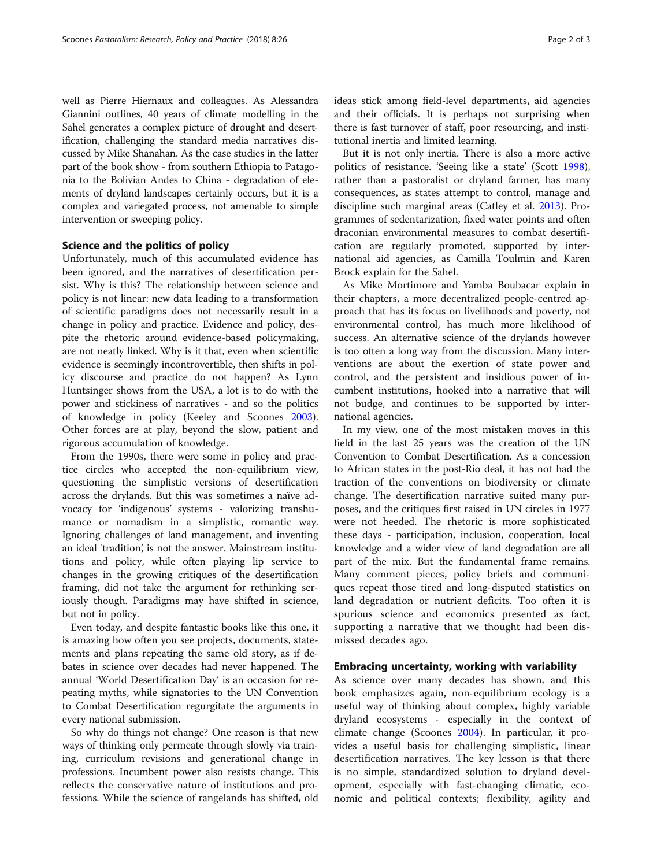well as Pierre Hiernaux and colleagues. As Alessandra Giannini outlines, 40 years of climate modelling in the Sahel generates a complex picture of drought and desertification, challenging the standard media narratives discussed by Mike Shanahan. As the case studies in the latter part of the book show - from southern Ethiopia to Patagonia to the Bolivian Andes to China - degradation of elements of dryland landscapes certainly occurs, but it is a complex and variegated process, not amenable to simple intervention or sweeping policy.

# Science and the politics of policy

Unfortunately, much of this accumulated evidence has been ignored, and the narratives of desertification persist. Why is this? The relationship between science and policy is not linear: new data leading to a transformation of scientific paradigms does not necessarily result in a change in policy and practice. Evidence and policy, despite the rhetoric around evidence-based policymaking, are not neatly linked. Why is it that, even when scientific evidence is seemingly incontrovertible, then shifts in policy discourse and practice do not happen? As Lynn Huntsinger shows from the USA, a lot is to do with the power and stickiness of narratives - and so the politics of knowledge in policy (Keeley and Scoones [2003](#page-2-0)). Other forces are at play, beyond the slow, patient and rigorous accumulation of knowledge.

From the 1990s, there were some in policy and practice circles who accepted the non-equilibrium view, questioning the simplistic versions of desertification across the drylands. But this was sometimes a naïve advocacy for 'indigenous' systems - valorizing transhumance or nomadism in a simplistic, romantic way. Ignoring challenges of land management, and inventing an ideal 'tradition', is not the answer. Mainstream institutions and policy, while often playing lip service to changes in the growing critiques of the desertification framing, did not take the argument for rethinking seriously though. Paradigms may have shifted in science, but not in policy.

Even today, and despite fantastic books like this one, it is amazing how often you see projects, documents, statements and plans repeating the same old story, as if debates in science over decades had never happened. The annual 'World Desertification Day' is an occasion for repeating myths, while signatories to the UN Convention to Combat Desertification regurgitate the arguments in every national submission.

So why do things not change? One reason is that new ways of thinking only permeate through slowly via training, curriculum revisions and generational change in professions. Incumbent power also resists change. This reflects the conservative nature of institutions and professions. While the science of rangelands has shifted, old ideas stick among field-level departments, aid agencies and their officials. It is perhaps not surprising when there is fast turnover of staff, poor resourcing, and institutional inertia and limited learning.

But it is not only inertia. There is also a more active politics of resistance. 'Seeing like a state' (Scott [1998](#page-2-0)), rather than a pastoralist or dryland farmer, has many consequences, as states attempt to control, manage and discipline such marginal areas (Catley et al. [2013](#page-2-0)). Programmes of sedentarization, fixed water points and often draconian environmental measures to combat desertification are regularly promoted, supported by international aid agencies, as Camilla Toulmin and Karen Brock explain for the Sahel.

As Mike Mortimore and Yamba Boubacar explain in their chapters, a more decentralized people-centred approach that has its focus on livelihoods and poverty, not environmental control, has much more likelihood of success. An alternative science of the drylands however is too often a long way from the discussion. Many interventions are about the exertion of state power and control, and the persistent and insidious power of incumbent institutions, hooked into a narrative that will not budge, and continues to be supported by international agencies.

In my view, one of the most mistaken moves in this field in the last 25 years was the creation of the UN Convention to Combat Desertification. As a concession to African states in the post-Rio deal, it has not had the traction of the conventions on biodiversity or climate change. The desertification narrative suited many purposes, and the critiques first raised in UN circles in 1977 were not heeded. The rhetoric is more sophisticated these days - participation, inclusion, cooperation, local knowledge and a wider view of land degradation are all part of the mix. But the fundamental frame remains. Many comment pieces, policy briefs and communiques repeat those tired and long-disputed statistics on land degradation or nutrient deficits. Too often it is spurious science and economics presented as fact, supporting a narrative that we thought had been dismissed decades ago.

# Embracing uncertainty, working with variability

As science over many decades has shown, and this book emphasizes again, non-equilibrium ecology is a useful way of thinking about complex, highly variable dryland ecosystems - especially in the context of climate change (Scoones [2004](#page-2-0)). In particular, it provides a useful basis for challenging simplistic, linear desertification narratives. The key lesson is that there is no simple, standardized solution to dryland development, especially with fast-changing climatic, economic and political contexts; flexibility, agility and